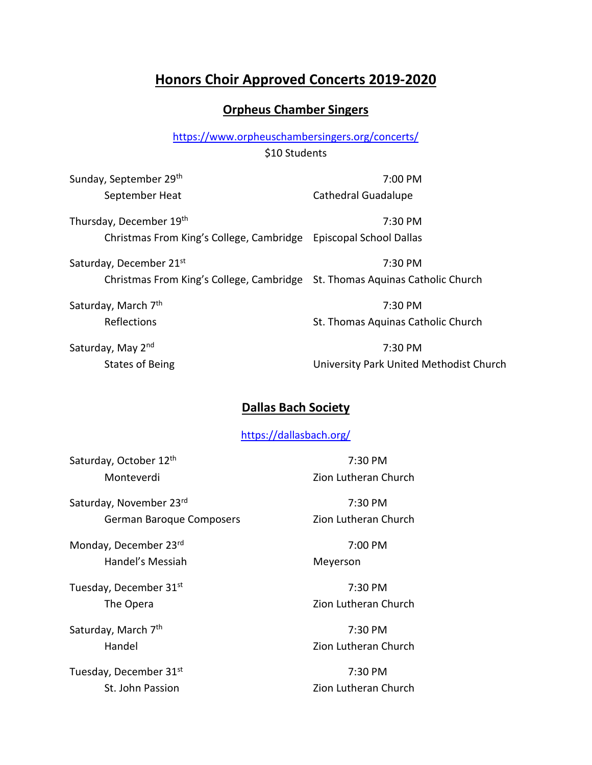# **Honors Choir Approved Concerts 2019-2020**

#### **Orpheus Chamber Singers**

<https://www.orpheuschambersingers.org/concerts/>

\$10 Students

Sunday, September 29<sup>th</sup> 7:00 PM September Heat Cathedral Guadalupe

Thursday, December 19<sup>th</sup> 7:30 PM Christmas From King's College, Cambridge Episcopal School Dallas

Saturday, December 21<sup>st</sup> 7:30 PM Christmas From King's College, Cambridge St. Thomas Aquinas Catholic Church

Saturday, March 7<sup>th</sup> 7:30 PM Reflections **St. Thomas Aquinas Catholic Church** 

Saturday, May 2<sup>nd</sup> 2008 2009 12:30 PM States of Being University Park United Methodist Church

#### **Dallas Bach Society**

<https://dallasbach.org/>

Saturday, October 12<sup>th</sup> 7:30 PM

Saturday, November 23<sup>rd</sup> 7:30 PM German Baroque Composers **Example 2** Zion Lutheran Church

Monday, December 23<sup>rd</sup> 7:00 PM Handel's Messiah Meyerson

Tuesday, December 31<sup>st</sup> 7:30 PM

Saturday, March  $7<sup>th</sup>$  7:30 PM

Tuesday, December 31<sup>st</sup> 7:30 PM

Monteverdi Zion Lutheran Church

The Opera **Zion Lutheran Church** 

Handel Zion Lutheran Church

St. John Passion **National Communist Communist Communist Communist Communist Communist Communist Communist Communist Communist Communist Communist Communist Communist Communist Communist Communist Communist Communist Commu**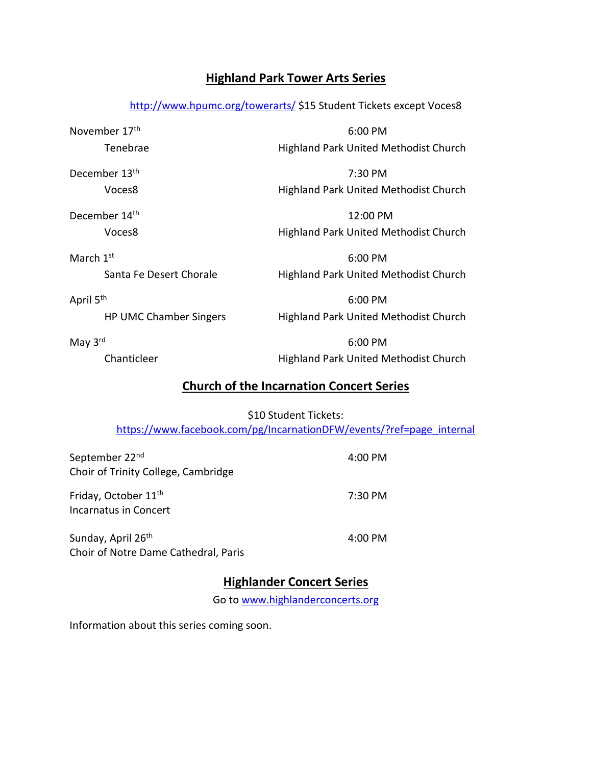# **Highland Park Tower Arts Series**

<http://www.hpumc.org/towerarts/> \$15 Student Tickets except Voces8

November 17<sup>th</sup> 6:00 PM Tenebrae **Highland Park United Methodist Church** 

December 13<sup>th</sup> 7:30 PM Voces8 Highland Park United Methodist Church

December 14<sup>th</sup> 12:00 PM Voces8 Highland Park United Methodist Church

March  $1^{\text{st}}$  6:00 PM Santa Fe Desert Chorale **Highland Park United Methodist Church** 

April 5<sup>th</sup> 6:00 PM

HP UMC Chamber Singers Highland Park United Methodist Church

May 3<sup>rd</sup> 6:00 PM Chanticleer Highland Park United Methodist Church

# **Church of the Incarnation Concert Series**

\$10 Student Tickets: [https://www.facebook.com/pg/IncarnationDFW/events/?ref=page\\_internal](https://www.facebook.com/pg/IncarnationDFW/events/?ref=page_internal)

| September 22 <sup>nd</sup>          | 4:00 PM |
|-------------------------------------|---------|
| Choir of Trinity College, Cambridge |         |
| Friday, October 11 <sup>th</sup>    | 7:30 PM |
| Incarnatus in Concert               |         |
|                                     |         |

Sunday, April 26<sup>th</sup> 4:00 PM Choir of Notre Dame Cathedral, Paris

# **Highlander Concert Series**

Go to [www.highlanderconcerts.org](http://www.highlanderconcerts.org/)

Information about this series coming soon.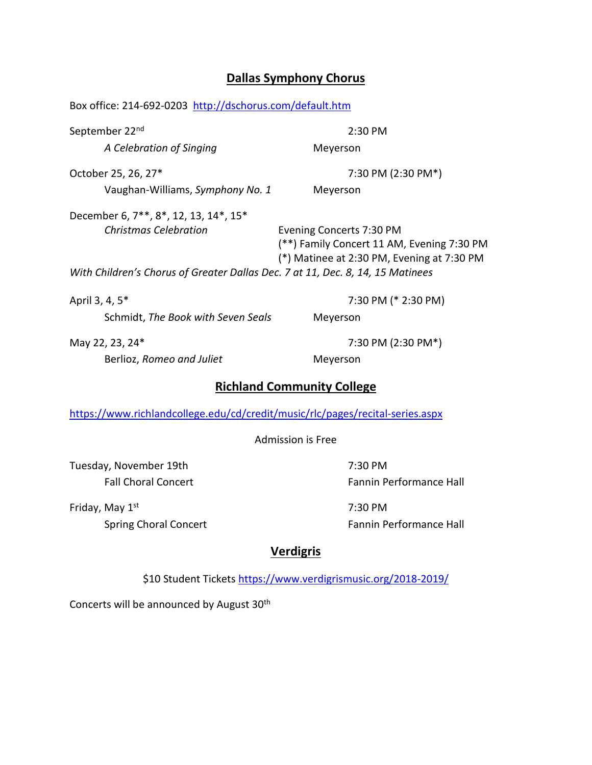# **Dallas Symphony Chorus**

Box office: 214-692-0203 <http://dschorus.com/default.htm>

| September 22 <sup>nd</sup>                                                     | $2:30$ PM                                                                                                            |
|--------------------------------------------------------------------------------|----------------------------------------------------------------------------------------------------------------------|
| A Celebration of Singing                                                       | Meyerson                                                                                                             |
| October 25, 26, 27*                                                            | 7:30 PM (2:30 PM*)                                                                                                   |
| Vaughan-Williams, Symphony No. 1                                               | Meyerson                                                                                                             |
| December 6, 7**, 8*, 12, 13, 14*, 15*                                          |                                                                                                                      |
| <b>Christmas Celebration</b>                                                   | Evening Concerts 7:30 PM<br>(**) Family Concert 11 AM, Evening 7:30 PM<br>(*) Matinee at 2:30 PM, Evening at 7:30 PM |
| With Children's Chorus of Greater Dallas Dec. 7 at 11, Dec. 8, 14, 15 Matinees |                                                                                                                      |
| April 3, 4, 5*                                                                 | 7:30 PM (* 2:30 PM)                                                                                                  |

Schmidt, *The Book with Seven Seals* Meyerson

Berlioz, *Romeo and Juliet* Meyerson

May 22, 23, 24\* 7:30 PM (2:30 PM\*)

# **Richland Community College**

<https://www.richlandcollege.edu/cd/credit/music/rlc/pages/recital-series.aspx>

Admission is Free

Tuesday, November 19th 7:30 PM

Friday, May 1<sup>st</sup> 7:30 PM

Fall Choral Concert **Fannin Performance Hall** 

Spring Choral Concert **Fannin Performance Hall** 

# **Verdigris**

\$10 Student Tickets<https://www.verdigrismusic.org/2018-2019/>

Concerts will be announced by August 30<sup>th</sup>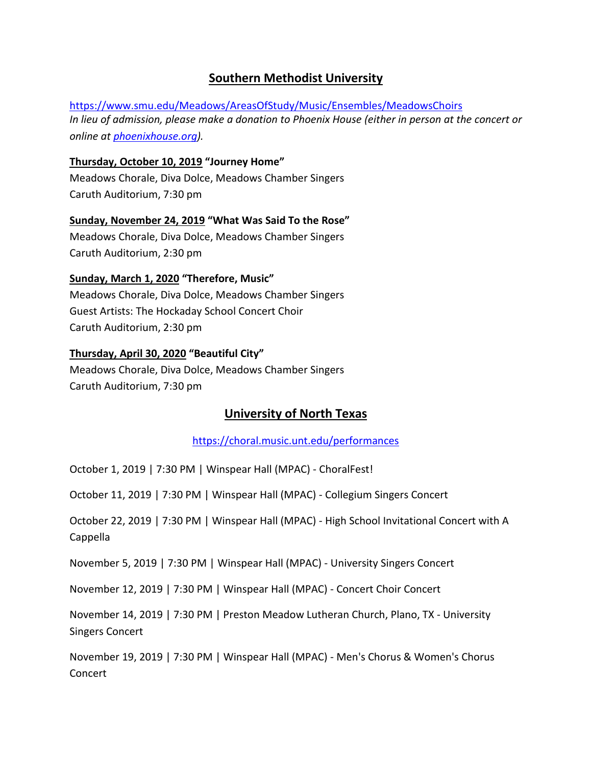# **Southern Methodist University**

<https://www.smu.edu/Meadows/AreasOfStudy/Music/Ensembles/MeadowsChoirs> *In lieu of admission, please make a donation to Phoenix House (either in person at the concert or online at [phoenixhouse.org\)](https://www.smu.edu/Meadows/AreasOfStudy/Music/Ensembles/www.phoenixhouse.org).*

**Thursday, October 10, 2019 "Journey Home"** Meadows Chorale, Diva Dolce, Meadows Chamber Singers Caruth Auditorium, 7:30 pm

#### **Sunday, November 24, 2019 "What Was Said To the Rose"**

Meadows Chorale, Diva Dolce, Meadows Chamber Singers Caruth Auditorium, 2:30 pm

#### **Sunday, March 1, 2020 "Therefore, Music"**

Meadows Chorale, Diva Dolce, Meadows Chamber Singers Guest Artists: The Hockaday School Concert Choir Caruth Auditorium, 2:30 pm

#### **Thursday, April 30, 2020 "Beautiful City"**

Meadows Chorale, Diva Dolce, Meadows Chamber Singers Caruth Auditorium, 7:30 pm

### **University of North Texas**

<https://choral.music.unt.edu/performances>

October 1, 2019 | 7:30 PM | Winspear Hall (MPAC) - ChoralFest!

October 11, 2019 | 7:30 PM | Winspear Hall (MPAC) - Collegium Singers Concert

October 22, 2019 | 7:30 PM | Winspear Hall (MPAC) - High School Invitational Concert with A Cappella

November 5, 2019 | 7:30 PM | Winspear Hall (MPAC) - University Singers Concert

November 12, 2019 | 7:30 PM | Winspear Hall (MPAC) - Concert Choir Concert

November 14, 2019 | 7:30 PM | Preston Meadow Lutheran Church, Plano, TX - University Singers Concert

November 19, 2019 | 7:30 PM | Winspear Hall (MPAC) - Men's Chorus & Women's Chorus Concert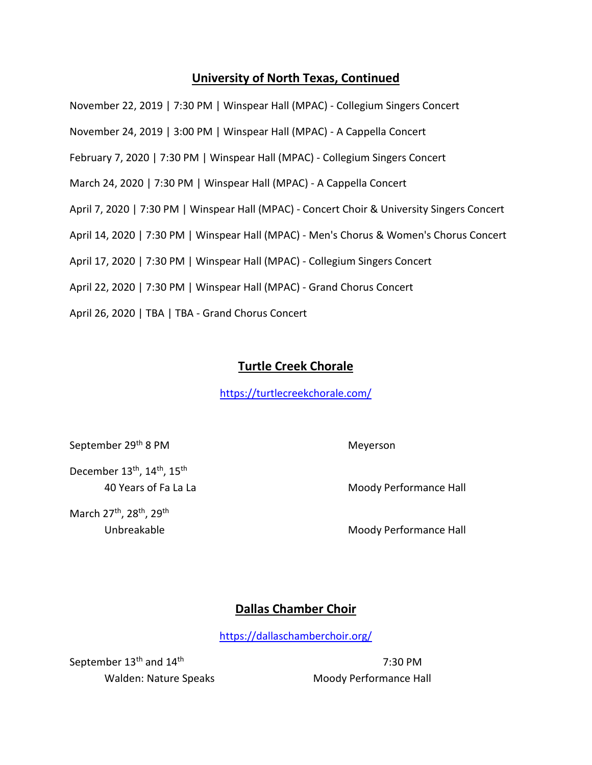# **University of North Texas, Continued**

November 22, 2019 | 7:30 PM | Winspear Hall (MPAC) - Collegium Singers Concert

November 24, 2019 | 3:00 PM | Winspear Hall (MPAC) - A Cappella Concert

February 7, 2020 | 7:30 PM | Winspear Hall (MPAC) - Collegium Singers Concert

March 24, 2020 | 7:30 PM | Winspear Hall (MPAC) - A Cappella Concert

April 7, 2020 | 7:30 PM | Winspear Hall (MPAC) - Concert Choir & University Singers Concert

April 14, 2020 | 7:30 PM | Winspear Hall (MPAC) - Men's Chorus & Women's Chorus Concert

April 17, 2020 | 7:30 PM | Winspear Hall (MPAC) - Collegium Singers Concert

April 22, 2020 | 7:30 PM | Winspear Hall (MPAC) - Grand Chorus Concert

April 26, 2020 | TBA | TBA - Grand Chorus Concert

#### **Turtle Creek Chorale**

<https://turtlecreekchorale.com/>

September 29<sup>th</sup> 8 PM Meyerson

December 13<sup>th</sup>, 14<sup>th</sup>, 15<sup>th</sup>

March 27<sup>th</sup>, 28<sup>th</sup>, 29<sup>th</sup>

40 Years of Fa La La Moody Performance Hall

Unbreakable **Moody Performance Hall** 

### **Dallas Chamber Choir**

<https://dallaschamberchoir.org/>

September 13<sup>th</sup> and 14<sup>th</sup> 7:30 PM

Walden: Nature Speaks Moody Performance Hall